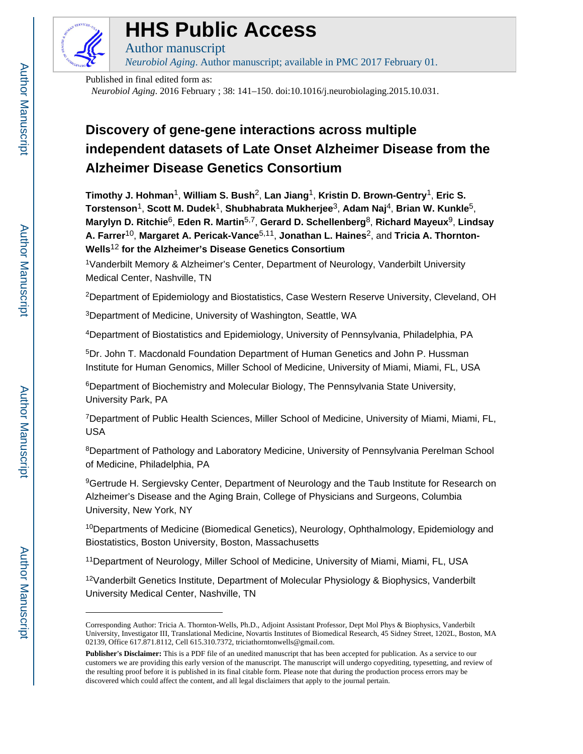

### **HHS Public Access**

Author manuscript *Neurobiol Aging*. Author manuscript; available in PMC 2017 February 01.

Published in final edited form as: *Neurobiol Aging*. 2016 February ; 38: 141–150. doi:10.1016/j.neurobiolaging.2015.10.031.

### **Discovery of gene-gene interactions across multiple independent datasets of Late Onset Alzheimer Disease from the Alzheimer Disease Genetics Consortium**

**Timothy J. Hohman**1, **William S. Bush**2, **Lan Jiang**1, **Kristin D. Brown-Gentry**1, **Eric S. Torstenson**1, **Scott M. Dudek**1, **Shubhabrata Mukherjee**3, **Adam Naj**4, **Brian W. Kunkle**5, **Marylyn D. Ritchie**6, **Eden R. Martin**5,7, **Gerard D. Schellenberg**8, **Richard Mayeux**9, **Lindsay A. Farrer**10, **Margaret A. Pericak-Vance**5,11, **Jonathan L. Haines**2, and **Tricia A. Thornton-Wells**<sup>12</sup> **for the Alzheimer's Disease Genetics Consortium**

<sup>1</sup>Vanderbilt Memory & Alzheimer's Center, Department of Neurology, Vanderbilt University Medical Center, Nashville, TN

<sup>2</sup>Department of Epidemiology and Biostatistics, Case Western Reserve University, Cleveland, OH

<sup>3</sup>Department of Medicine, University of Washington, Seattle, WA

<sup>4</sup>Department of Biostatistics and Epidemiology, University of Pennsylvania, Philadelphia, PA

<sup>5</sup>Dr. John T. Macdonald Foundation Department of Human Genetics and John P. Hussman Institute for Human Genomics, Miller School of Medicine, University of Miami, Miami, FL, USA

<sup>6</sup>Department of Biochemistry and Molecular Biology, The Pennsylvania State University, University Park, PA

<sup>7</sup>Department of Public Health Sciences, Miller School of Medicine, University of Miami, Miami, FL, USA

<sup>8</sup>Department of Pathology and Laboratory Medicine, University of Pennsylvania Perelman School of Medicine, Philadelphia, PA

<sup>9</sup>Gertrude H. Sergievsky Center, Department of Neurology and the Taub Institute for Research on Alzheimer's Disease and the Aging Brain, College of Physicians and Surgeons, Columbia University, New York, NY

<sup>10</sup>Departments of Medicine (Biomedical Genetics), Neurology, Ophthalmology, Epidemiology and Biostatistics, Boston University, Boston, Massachusetts

<sup>11</sup>Department of Neurology, Miller School of Medicine, University of Miami, Miami, FL, USA

 $12$ Vanderbilt Genetics Institute, Department of Molecular Physiology & Biophysics, Vanderbilt University Medical Center, Nashville, TN

Corresponding Author: Tricia A. Thornton-Wells, Ph.D., Adjoint Assistant Professor, Dept Mol Phys & Biophysics, Vanderbilt University, Investigator III, Translational Medicine, Novartis Institutes of Biomedical Research, 45 Sidney Street, 1202L, Boston, MA 02139, Office 617.871.8112, Cell 615.310.7372, triciathorntonwells@gmail.com.

**Publisher's Disclaimer:** This is a PDF file of an unedited manuscript that has been accepted for publication. As a service to our customers we are providing this early version of the manuscript. The manuscript will undergo copyediting, typesetting, and review of the resulting proof before it is published in its final citable form. Please note that during the production process errors may be discovered which could affect the content, and all legal disclaimers that apply to the journal pertain.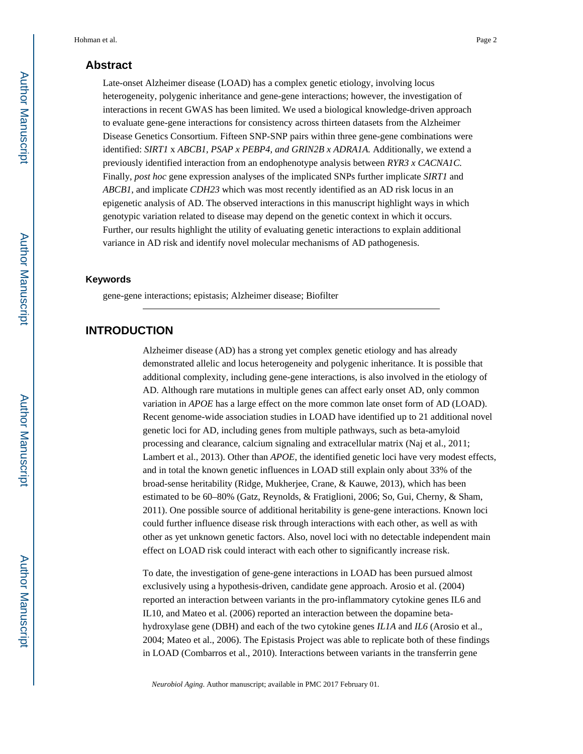#### **Abstract**

Late-onset Alzheimer disease (LOAD) has a complex genetic etiology, involving locus heterogeneity, polygenic inheritance and gene-gene interactions; however, the investigation of interactions in recent GWAS has been limited. We used a biological knowledge-driven approach to evaluate gene-gene interactions for consistency across thirteen datasets from the Alzheimer Disease Genetics Consortium. Fifteen SNP-SNP pairs within three gene-gene combinations were identified: *SIRT1* x *ABCB1, PSAP x PEBP4, and GRIN2B x ADRA1A.* Additionally, we extend a previously identified interaction from an endophenotype analysis between *RYR3 x CACNA1C.*  Finally, *post hoc* gene expression analyses of the implicated SNPs further implicate *SIRT1* and *ABCB1*, and implicate *CDH23* which was most recently identified as an AD risk locus in an epigenetic analysis of AD. The observed interactions in this manuscript highlight ways in which genotypic variation related to disease may depend on the genetic context in which it occurs. Further, our results highlight the utility of evaluating genetic interactions to explain additional variance in AD risk and identify novel molecular mechanisms of AD pathogenesis.

#### **Keywords**

gene-gene interactions; epistasis; Alzheimer disease; Biofilter

#### **INTRODUCTION**

Alzheimer disease (AD) has a strong yet complex genetic etiology and has already demonstrated allelic and locus heterogeneity and polygenic inheritance. It is possible that additional complexity, including gene-gene interactions, is also involved in the etiology of AD. Although rare mutations in multiple genes can affect early onset AD, only common variation in *APOE* has a large effect on the more common late onset form of AD (LOAD). Recent genome-wide association studies in LOAD have identified up to 21 additional novel genetic loci for AD, including genes from multiple pathways, such as beta-amyloid processing and clearance, calcium signaling and extracellular matrix (Naj et al., 2011; Lambert et al., 2013). Other than *APOE*, the identified genetic loci have very modest effects, and in total the known genetic influences in LOAD still explain only about 33% of the broad-sense heritability (Ridge, Mukherjee, Crane, & Kauwe, 2013), which has been estimated to be 60–80% (Gatz, Reynolds, & Fratiglioni, 2006; So, Gui, Cherny, & Sham, 2011). One possible source of additional heritability is gene-gene interactions. Known loci could further influence disease risk through interactions with each other, as well as with other as yet unknown genetic factors. Also, novel loci with no detectable independent main effect on LOAD risk could interact with each other to significantly increase risk.

To date, the investigation of gene-gene interactions in LOAD has been pursued almost exclusively using a hypothesis-driven, candidate gene approach. Arosio et al. (2004) reported an interaction between variants in the pro-inflammatory cytokine genes IL6 and IL10, and Mateo et al. (2006) reported an interaction between the dopamine betahydroxylase gene (DBH) and each of the two cytokine genes *IL1A* and *IL6* (Arosio et al., 2004; Mateo et al., 2006). The Epistasis Project was able to replicate both of these findings in LOAD (Combarros et al., 2010). Interactions between variants in the transferrin gene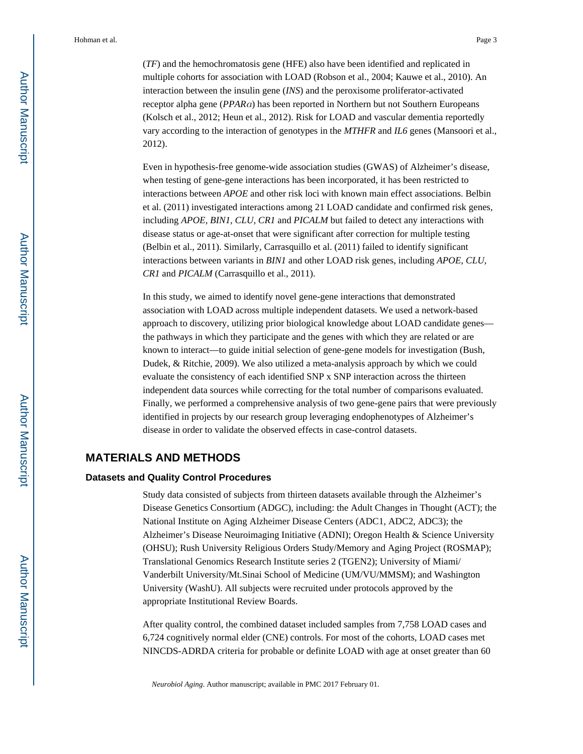(*TF*) and the hemochromatosis gene (HFE) also have been identified and replicated in multiple cohorts for association with LOAD (Robson et al., 2004; Kauwe et al., 2010). An interaction between the insulin gene (*INS*) and the peroxisome proliferator-activated receptor alpha gene (*PPAR*α) has been reported in Northern but not Southern Europeans (Kolsch et al., 2012; Heun et al., 2012). Risk for LOAD and vascular dementia reportedly vary according to the interaction of genotypes in the *MTHFR* and *IL6* genes (Mansoori et al., 2012).

Even in hypothesis-free genome-wide association studies (GWAS) of Alzheimer's disease, when testing of gene-gene interactions has been incorporated, it has been restricted to interactions between *APOE* and other risk loci with known main effect associations. Belbin et al. (2011) investigated interactions among 21 LOAD candidate and confirmed risk genes, including *APOE*, *BIN1*, *CLU*, *CR1* and *PICALM* but failed to detect any interactions with disease status or age-at-onset that were significant after correction for multiple testing (Belbin et al., 2011). Similarly, Carrasquillo et al. (2011) failed to identify significant interactions between variants in *BIN1* and other LOAD risk genes, including *APOE*, *CLU*, *CR1* and *PICALM* (Carrasquillo et al., 2011).

In this study, we aimed to identify novel gene-gene interactions that demonstrated association with LOAD across multiple independent datasets. We used a network-based approach to discovery, utilizing prior biological knowledge about LOAD candidate genes the pathways in which they participate and the genes with which they are related or are known to interact—to guide initial selection of gene-gene models for investigation (Bush, Dudek, & Ritchie, 2009). We also utilized a meta-analysis approach by which we could evaluate the consistency of each identified SNP x SNP interaction across the thirteen independent data sources while correcting for the total number of comparisons evaluated. Finally, we performed a comprehensive analysis of two gene-gene pairs that were previously identified in projects by our research group leveraging endophenotypes of Alzheimer's disease in order to validate the observed effects in case-control datasets.

#### **MATERIALS AND METHODS**

#### **Datasets and Quality Control Procedures**

Study data consisted of subjects from thirteen datasets available through the Alzheimer's Disease Genetics Consortium (ADGC), including: the Adult Changes in Thought (ACT); the National Institute on Aging Alzheimer Disease Centers (ADC1, ADC2, ADC3); the Alzheimer's Disease Neuroimaging Initiative (ADNI); Oregon Health & Science University (OHSU); Rush University Religious Orders Study/Memory and Aging Project (ROSMAP); Translational Genomics Research Institute series 2 (TGEN2); University of Miami/ Vanderbilt University/Mt.Sinai School of Medicine (UM/VU/MMSM); and Washington University (WashU). All subjects were recruited under protocols approved by the appropriate Institutional Review Boards.

After quality control, the combined dataset included samples from 7,758 LOAD cases and 6,724 cognitively normal elder (CNE) controls. For most of the cohorts, LOAD cases met NINCDS-ADRDA criteria for probable or definite LOAD with age at onset greater than 60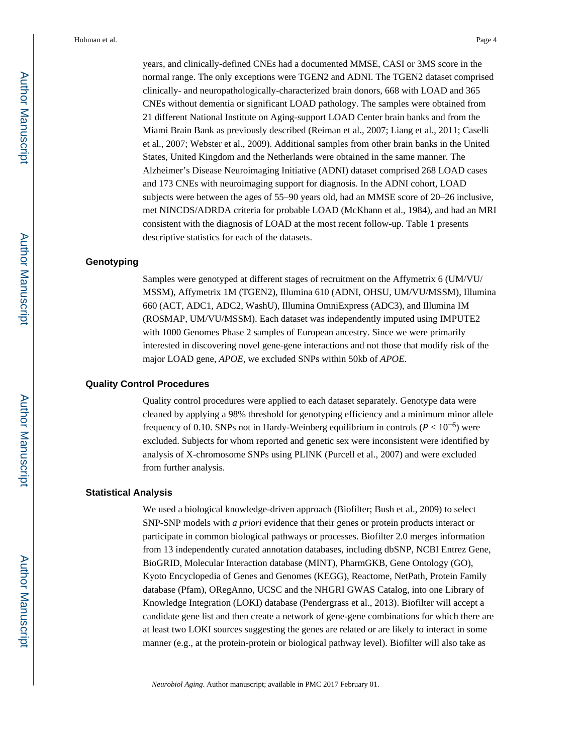years, and clinically-defined CNEs had a documented MMSE, CASI or 3MS score in the normal range. The only exceptions were TGEN2 and ADNI. The TGEN2 dataset comprised clinically- and neuropathologically-characterized brain donors, 668 with LOAD and 365 CNEs without dementia or significant LOAD pathology. The samples were obtained from 21 different National Institute on Aging-support LOAD Center brain banks and from the Miami Brain Bank as previously described (Reiman et al., 2007; Liang et al., 2011; Caselli et al., 2007; Webster et al., 2009). Additional samples from other brain banks in the United States, United Kingdom and the Netherlands were obtained in the same manner. The Alzheimer's Disease Neuroimaging Initiative (ADNI) dataset comprised 268 LOAD cases and 173 CNEs with neuroimaging support for diagnosis. In the ADNI cohort, LOAD subjects were between the ages of 55–90 years old, had an MMSE score of 20–26 inclusive, met NINCDS/ADRDA criteria for probable LOAD (McKhann et al., 1984), and had an MRI consistent with the diagnosis of LOAD at the most recent follow-up. Table 1 presents descriptive statistics for each of the datasets.

#### **Genotyping**

Samples were genotyped at different stages of recruitment on the Affymetrix 6 (UM/VU/ MSSM), Affymetrix 1M (TGEN2), Illumina 610 (ADNI, OHSU, UM/VU/MSSM), Illumina 660 (ACT, ADC1, ADC2, WashU), Illumina OmniExpress (ADC3), and Illumina IM (ROSMAP, UM/VU/MSSM). Each dataset was independently imputed using IMPUTE2 with 1000 Genomes Phase 2 samples of European ancestry. Since we were primarily interested in discovering novel gene-gene interactions and not those that modify risk of the major LOAD gene, *APOE*, we excluded SNPs within 50kb of *APOE*.

#### **Quality Control Procedures**

Quality control procedures were applied to each dataset separately. Genotype data were cleaned by applying a 98% threshold for genotyping efficiency and a minimum minor allele frequency of 0.10. SNPs not in Hardy-Weinberg equilibrium in controls ( $P < 10^{-6}$ ) were excluded. Subjects for whom reported and genetic sex were inconsistent were identified by analysis of X-chromosome SNPs using PLINK (Purcell et al., 2007) and were excluded from further analysis.

#### **Statistical Analysis**

We used a biological knowledge-driven approach (Biofilter; Bush et al., 2009) to select SNP-SNP models with *a priori* evidence that their genes or protein products interact or participate in common biological pathways or processes. Biofilter 2.0 merges information from 13 independently curated annotation databases, including dbSNP, NCBI Entrez Gene, BioGRID, Molecular Interaction database (MINT), PharmGKB, Gene Ontology (GO), Kyoto Encyclopedia of Genes and Genomes (KEGG), Reactome, NetPath, Protein Family database (Pfam), ORegAnno, UCSC and the NHGRI GWAS Catalog, into one Library of Knowledge Integration (LOKI) database (Pendergrass et al., 2013). Biofilter will accept a candidate gene list and then create a network of gene-gene combinations for which there are at least two LOKI sources suggesting the genes are related or are likely to interact in some manner (e.g., at the protein-protein or biological pathway level). Biofilter will also take as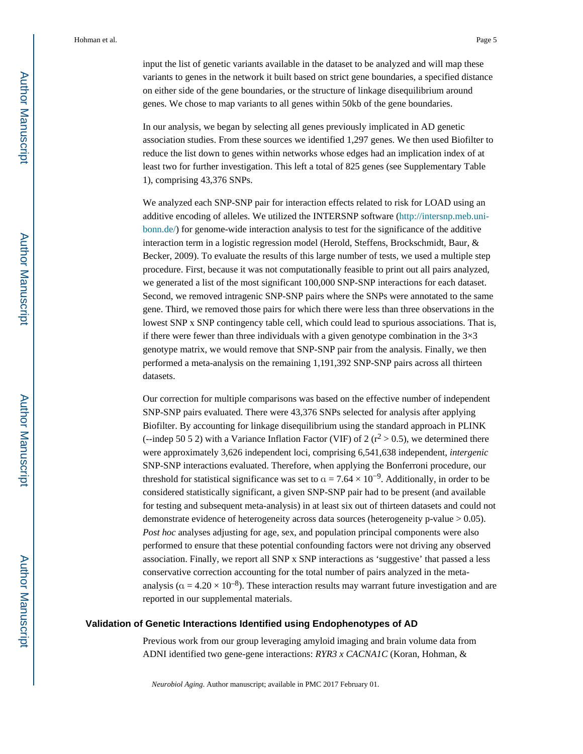input the list of genetic variants available in the dataset to be analyzed and will map these variants to genes in the network it built based on strict gene boundaries, a specified distance on either side of the gene boundaries, or the structure of linkage disequilibrium around genes. We chose to map variants to all genes within 50kb of the gene boundaries.

In our analysis, we began by selecting all genes previously implicated in AD genetic association studies. From these sources we identified 1,297 genes. We then used Biofilter to reduce the list down to genes within networks whose edges had an implication index of at least two for further investigation. This left a total of 825 genes (see Supplementary Table 1), comprising 43,376 SNPs.

We analyzed each SNP-SNP pair for interaction effects related to risk for LOAD using an additive encoding of alleles. We utilized the INTERSNP software [\(http://intersnp.meb.uni](http://intersnp.meb.uni-bonn.de/)[bonn.de/\)](http://intersnp.meb.uni-bonn.de/) for genome-wide interaction analysis to test for the significance of the additive interaction term in a logistic regression model (Herold, Steffens, Brockschmidt, Baur, & Becker, 2009). To evaluate the results of this large number of tests, we used a multiple step procedure. First, because it was not computationally feasible to print out all pairs analyzed, we generated a list of the most significant 100,000 SNP-SNP interactions for each dataset. Second, we removed intragenic SNP-SNP pairs where the SNPs were annotated to the same gene. Third, we removed those pairs for which there were less than three observations in the lowest SNP x SNP contingency table cell, which could lead to spurious associations. That is, if there were fewer than three individuals with a given genotype combination in the  $3\times3$ genotype matrix, we would remove that SNP-SNP pair from the analysis. Finally, we then performed a meta-analysis on the remaining 1,191,392 SNP-SNP pairs across all thirteen datasets.

Our correction for multiple comparisons was based on the effective number of independent SNP-SNP pairs evaluated. There were 43,376 SNPs selected for analysis after applying Biofilter. By accounting for linkage disequilibrium using the standard approach in PLINK (--indep 50 5 2) with a Variance Inflation Factor (VIF) of 2 ( $r^2 > 0.5$ ), we determined there were approximately 3,626 independent loci, comprising 6,541,638 independent, *intergenic*  SNP-SNP interactions evaluated. Therefore, when applying the Bonferroni procedure, our threshold for statistical significance was set to  $\alpha = 7.64 \times 10^{-9}$ . Additionally, in order to be considered statistically significant, a given SNP-SNP pair had to be present (and available for testing and subsequent meta-analysis) in at least six out of thirteen datasets and could not demonstrate evidence of heterogeneity across data sources (heterogeneity p-value > 0.05). *Post hoc* analyses adjusting for age, sex, and population principal components were also performed to ensure that these potential confounding factors were not driving any observed association. Finally, we report all SNP x SNP interactions as 'suggestive' that passed a less conservative correction accounting for the total number of pairs analyzed in the metaanalysis ( $\alpha = 4.20 \times 10^{-8}$ ). These interaction results may warrant future investigation and are reported in our supplemental materials.

#### **Validation of Genetic Interactions Identified using Endophenotypes of AD**

Previous work from our group leveraging amyloid imaging and brain volume data from ADNI identified two gene-gene interactions: *RYR3 x CACNA1C* (Koran, Hohman, &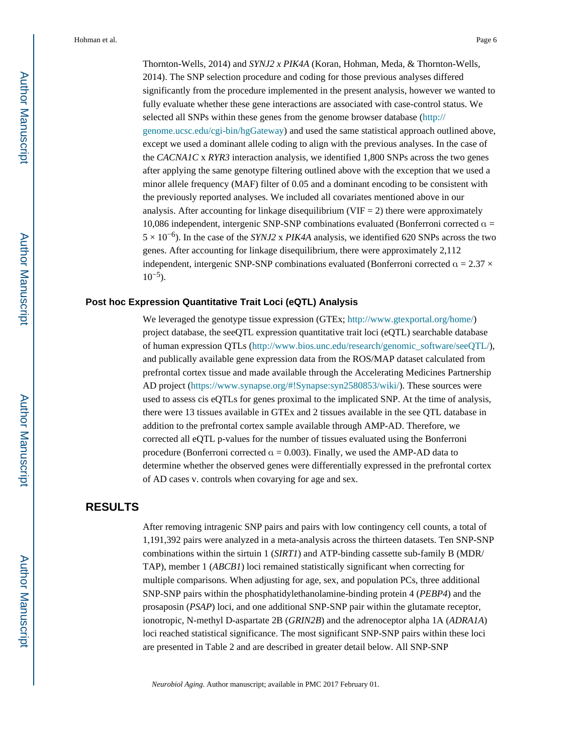Thornton-Wells, 2014) and *SYNJ2 x PIK4A* (Koran, Hohman, Meda, & Thornton-Wells, 2014). The SNP selection procedure and coding for those previous analyses differed significantly from the procedure implemented in the present analysis, however we wanted to fully evaluate whether these gene interactions are associated with case-control status. We selected all SNPs within these genes from the genome browser database [\(http://](http://genome.ucsc.edu/cgi-bin/hgGateway) [genome.ucsc.edu/cgi-bin/hgGateway](http://genome.ucsc.edu/cgi-bin/hgGateway)) and used the same statistical approach outlined above, except we used a dominant allele coding to align with the previous analyses. In the case of the *CACNA1C* x *RYR3* interaction analysis, we identified 1,800 SNPs across the two genes after applying the same genotype filtering outlined above with the exception that we used a minor allele frequency (MAF) filter of 0.05 and a dominant encoding to be consistent with the previously reported analyses. We included all covariates mentioned above in our analysis. After accounting for linkage disequilibrium (VIF  $=$  2) there were approximately 10,086 independent, intergenic SNP-SNP combinations evaluated (Bonferroni corrected  $\alpha$  = 5 × 10−6). In the case of the *SYNJ2* x *PIK4A* analysis, we identified 620 SNPs across the two genes. After accounting for linkage disequilibrium, there were approximately 2,112 independent, intergenic SNP-SNP combinations evaluated (Bonferroni corrected  $\alpha = 2.37 \times$  $10^{-5}$ ).

#### **Post hoc Expression Quantitative Trait Loci (eQTL) Analysis**

We leveraged the genotype tissue expression (GTEx;<http://www.gtexportal.org/home/>) project database, the seeQTL expression quantitative trait loci (eQTL) searchable database of human expression QTLs ([http://www.bios.unc.edu/research/genomic\\_software/seeQTL/](http://www.bios.unc.edu/research/genomic_software/seeQTL/)), and publically available gene expression data from the ROS/MAP dataset calculated from prefrontal cortex tissue and made available through the Accelerating Medicines Partnership AD project (<https://www.synapse.org/#!Synapse:syn2580853/wiki/>). These sources were used to assess cis eQTLs for genes proximal to the implicated SNP. At the time of analysis, there were 13 tissues available in GTEx and 2 tissues available in the see QTL database in addition to the prefrontal cortex sample available through AMP-AD. Therefore, we corrected all eQTL p-values for the number of tissues evaluated using the Bonferroni procedure (Bonferroni corrected  $\alpha = 0.003$ ). Finally, we used the AMP-AD data to determine whether the observed genes were differentially expressed in the prefrontal cortex of AD cases v. controls when covarying for age and sex.

#### **RESULTS**

After removing intragenic SNP pairs and pairs with low contingency cell counts, a total of 1,191,392 pairs were analyzed in a meta-analysis across the thirteen datasets. Ten SNP-SNP combinations within the sirtuin 1 (*SIRT1*) and ATP-binding cassette sub-family B (MDR/ TAP), member 1 (*ABCB1*) loci remained statistically significant when correcting for multiple comparisons. When adjusting for age, sex, and population PCs, three additional SNP-SNP pairs within the phosphatidylethanolamine-binding protein 4 (*PEBP4*) and the prosaposin (*PSAP*) loci, and one additional SNP-SNP pair within the glutamate receptor, ionotropic, N-methyl D-aspartate 2B (*GRIN2B*) and the adrenoceptor alpha 1A (*ADRA1A*) loci reached statistical significance. The most significant SNP-SNP pairs within these loci are presented in Table 2 and are described in greater detail below. All SNP-SNP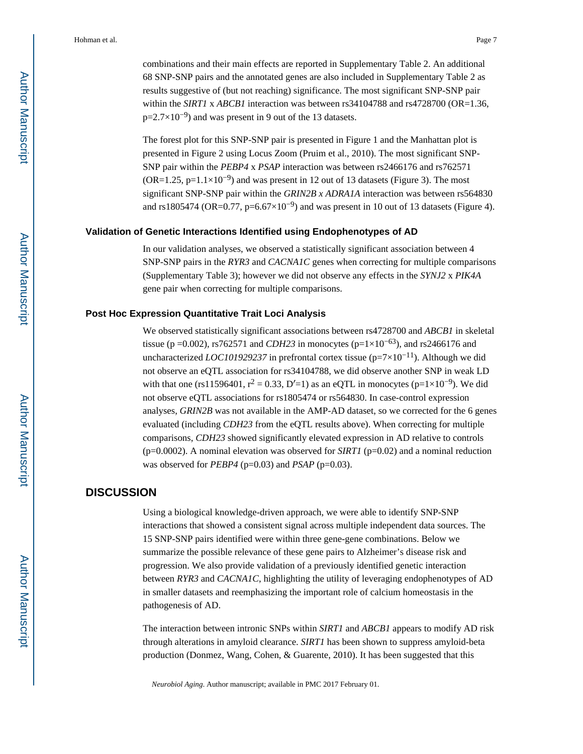combinations and their main effects are reported in Supplementary Table 2. An additional 68 SNP-SNP pairs and the annotated genes are also included in Supplementary Table 2 as results suggestive of (but not reaching) significance. The most significant SNP-SNP pair within the *SIRT1* x *ABCB1* interaction was between rs34104788 and rs4728700 (OR=1.36, p=2.7×10<sup>-9</sup>) and was present in 9 out of the 13 datasets.

The forest plot for this SNP-SNP pair is presented in Figure 1 and the Manhattan plot is presented in Figure 2 using Locus Zoom (Pruim et al., 2010). The most significant SNP-SNP pair within the *PEBP4* x *PSAP* interaction was between rs2466176 and rs762571 (OR=1.25, p=1.1×10<sup>-9</sup>) and was present in 12 out of 13 datasets (Figure 3). The most significant SNP-SNP pair within the *GRIN2B x ADRA1A* interaction was between rs564830 and rs1805474 (OR=0.77, p=6.67×10<sup>-9</sup>) and was present in 10 out of 13 datasets (Figure 4).

#### **Validation of Genetic Interactions Identified using Endophenotypes of AD**

In our validation analyses, we observed a statistically significant association between 4 SNP-SNP pairs in the *RYR3* and *CACNA1C* genes when correcting for multiple comparisons (Supplementary Table 3); however we did not observe any effects in the *SYNJ2* x *PIK4A*  gene pair when correcting for multiple comparisons.

#### **Post Hoc Expression Quantitative Trait Loci Analysis**

We observed statistically significant associations between rs4728700 and *ABCB1* in skeletal tissue (p =0.002), rs762571 and *CDH23* in monocytes (p=1×10<sup>-63</sup>), and rs2466176 and uncharacterized *LOC101929237* in prefrontal cortex tissue (p=7×10−11). Although we did not observe an eQTL association for rs34104788, we did observe another SNP in weak LD with that one (rs11596401,  $r^2 = 0.33$ , D'=1) as an eQTL in monocytes (p=1×10<sup>-9</sup>). We did not observe eQTL associations for rs1805474 or rs564830. In case-control expression analyses, *GRIN2B* was not available in the AMP-AD dataset, so we corrected for the 6 genes evaluated (including *CDH23* from the eQTL results above). When correcting for multiple comparisons, *CDH23* showed significantly elevated expression in AD relative to controls ( $p=0.0002$ ). A nominal elevation was observed for *SIRT1* ( $p=0.02$ ) and a nominal reduction was observed for *PEBP4* (p=0.03) and *PSAP* (p=0.03).

#### **DISCUSSION**

Using a biological knowledge-driven approach, we were able to identify SNP-SNP interactions that showed a consistent signal across multiple independent data sources. The 15 SNP-SNP pairs identified were within three gene-gene combinations. Below we summarize the possible relevance of these gene pairs to Alzheimer's disease risk and progression. We also provide validation of a previously identified genetic interaction between *RYR3* and *CACNA1C*, highlighting the utility of leveraging endophenotypes of AD in smaller datasets and reemphasizing the important role of calcium homeostasis in the pathogenesis of AD.

The interaction between intronic SNPs within *SIRT1* and *ABCB1* appears to modify AD risk through alterations in amyloid clearance. *SIRT1* has been shown to suppress amyloid-beta production (Donmez, Wang, Cohen, & Guarente, 2010). It has been suggested that this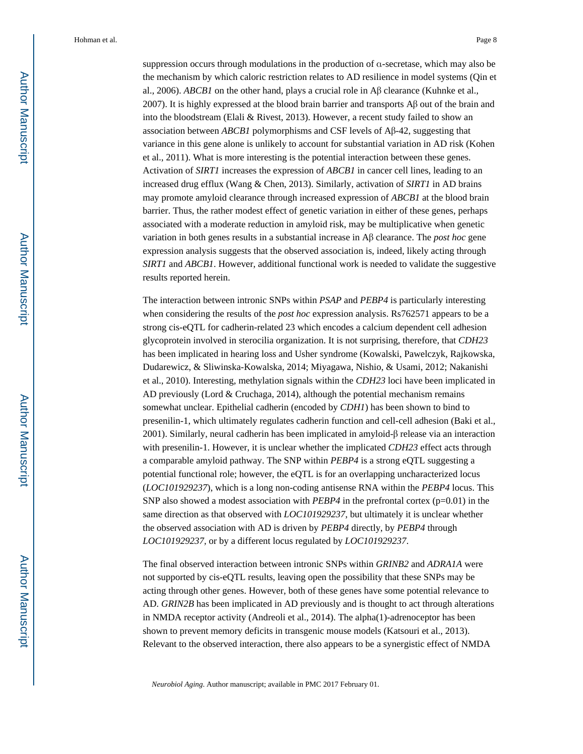suppression occurs through modulations in the production of α-secretase, which may also be the mechanism by which caloric restriction relates to AD resilience in model systems (Qin et al., 2006). *ABCB1* on the other hand, plays a crucial role in Aβ clearance (Kuhnke et al., 2007). It is highly expressed at the blood brain barrier and transports Aβ out of the brain and into the bloodstream (Elali & Rivest, 2013). However, a recent study failed to show an association between *ABCB1* polymorphisms and CSF levels of Aβ-42, suggesting that variance in this gene alone is unlikely to account for substantial variation in AD risk (Kohen et al., 2011). What is more interesting is the potential interaction between these genes. Activation of *SIRT1* increases the expression of *ABCB1* in cancer cell lines, leading to an increased drug efflux (Wang & Chen, 2013). Similarly, activation of *SIRT1* in AD brains may promote amyloid clearance through increased expression of *ABCB1* at the blood brain barrier. Thus, the rather modest effect of genetic variation in either of these genes, perhaps associated with a moderate reduction in amyloid risk, may be multiplicative when genetic variation in both genes results in a substantial increase in Aβ clearance. The *post hoc* gene expression analysis suggests that the observed association is, indeed, likely acting through *SIRT1* and *ABCB1*. However, additional functional work is needed to validate the suggestive results reported herein.

The interaction between intronic SNPs within *PSAP* and *PEBP4* is particularly interesting when considering the results of the *post hoc* expression analysis. Rs762571 appears to be a strong cis-eQTL for cadherin-related 23 which encodes a calcium dependent cell adhesion glycoprotein involved in sterocilia organization. It is not surprising, therefore, that *CDH23*  has been implicated in hearing loss and Usher syndrome (Kowalski, Pawelczyk, Rajkowska, Dudarewicz, & Sliwinska-Kowalska, 2014; Miyagawa, Nishio, & Usami, 2012; Nakanishi et al., 2010). Interesting, methylation signals within the *CDH23* loci have been implicated in AD previously (Lord & Cruchaga, 2014), although the potential mechanism remains somewhat unclear. Epithelial cadherin (encoded by *CDH1*) has been shown to bind to presenilin-1, which ultimately regulates cadherin function and cell-cell adhesion (Baki et al., 2001). Similarly, neural cadherin has been implicated in amyloid-β release via an interaction with presenilin-1. However, it is unclear whether the implicated *CDH23* effect acts through a comparable amyloid pathway. The SNP within *PEBP4* is a strong eQTL suggesting a potential functional role; however, the eQTL is for an overlapping uncharacterized locus (*LOC101929237*), which is a long non-coding antisense RNA within the *PEBP4* locus. This SNP also showed a modest association with  $PEBP4$  in the prefrontal cortex ( $p=0.01$ ) in the same direction as that observed with *LOC101929237*, but ultimately it is unclear whether the observed association with AD is driven by *PEBP4* directly, by *PEBP4* through *LOC101929237,* or by a different locus regulated by *LOC101929237*.

The final observed interaction between intronic SNPs within *GRINB2* and *ADRA1A* were not supported by cis-eQTL results, leaving open the possibility that these SNPs may be acting through other genes. However, both of these genes have some potential relevance to AD. *GRIN2B* has been implicated in AD previously and is thought to act through alterations in NMDA receptor activity (Andreoli et al., 2014). The alpha(1)-adrenoceptor has been shown to prevent memory deficits in transgenic mouse models (Katsouri et al., 2013). Relevant to the observed interaction, there also appears to be a synergistic effect of NMDA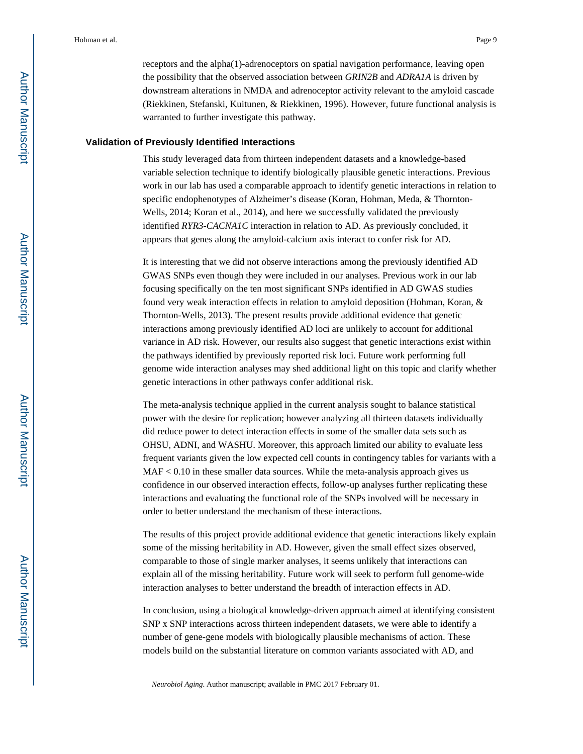receptors and the alpha(1)-adrenoceptors on spatial navigation performance, leaving open the possibility that the observed association between *GRIN2B* and *ADRA1A* is driven by downstream alterations in NMDA and adrenoceptor activity relevant to the amyloid cascade (Riekkinen, Stefanski, Kuitunen, & Riekkinen, 1996). However, future functional analysis is warranted to further investigate this pathway.

#### **Validation of Previously Identified Interactions**

This study leveraged data from thirteen independent datasets and a knowledge-based variable selection technique to identify biologically plausible genetic interactions. Previous work in our lab has used a comparable approach to identify genetic interactions in relation to specific endophenotypes of Alzheimer's disease (Koran, Hohman, Meda, & Thornton-Wells, 2014; Koran et al., 2014), and here we successfully validated the previously identified *RYR3*-*CACNA1C* interaction in relation to AD. As previously concluded, it appears that genes along the amyloid-calcium axis interact to confer risk for AD.

It is interesting that we did not observe interactions among the previously identified AD GWAS SNPs even though they were included in our analyses. Previous work in our lab focusing specifically on the ten most significant SNPs identified in AD GWAS studies found very weak interaction effects in relation to amyloid deposition (Hohman, Koran, & Thornton-Wells, 2013). The present results provide additional evidence that genetic interactions among previously identified AD loci are unlikely to account for additional variance in AD risk. However, our results also suggest that genetic interactions exist within the pathways identified by previously reported risk loci. Future work performing full genome wide interaction analyses may shed additional light on this topic and clarify whether genetic interactions in other pathways confer additional risk.

The meta-analysis technique applied in the current analysis sought to balance statistical power with the desire for replication; however analyzing all thirteen datasets individually did reduce power to detect interaction effects in some of the smaller data sets such as OHSU, ADNI, and WASHU. Moreover, this approach limited our ability to evaluate less frequent variants given the low expected cell counts in contingency tables for variants with a MAF < 0.10 in these smaller data sources. While the meta-analysis approach gives us confidence in our observed interaction effects, follow-up analyses further replicating these interactions and evaluating the functional role of the SNPs involved will be necessary in order to better understand the mechanism of these interactions.

The results of this project provide additional evidence that genetic interactions likely explain some of the missing heritability in AD. However, given the small effect sizes observed, comparable to those of single marker analyses, it seems unlikely that interactions can explain all of the missing heritability. Future work will seek to perform full genome-wide interaction analyses to better understand the breadth of interaction effects in AD.

In conclusion, using a biological knowledge-driven approach aimed at identifying consistent SNP x SNP interactions across thirteen independent datasets, we were able to identify a number of gene-gene models with biologically plausible mechanisms of action. These models build on the substantial literature on common variants associated with AD, and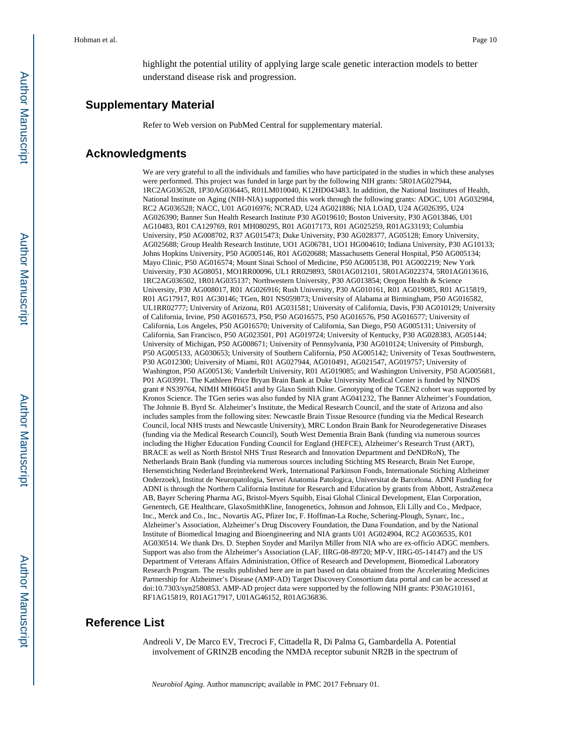highlight the potential utility of applying large scale genetic interaction models to better understand disease risk and progression.

#### **Supplementary Material**

Refer to Web version on PubMed Central for supplementary material.

#### **Acknowledgments**

We are very grateful to all the individuals and families who have participated in the studies in which these analyses were performed. This project was funded in large part by the following NIH grants: 5R01AG027944, 1RC2AG036528, 1P30AG036445, R01LM010040, K12HD043483. In addition, the National Institutes of Health, National Institute on Aging (NIH-NIA) supported this work through the following grants: ADGC, U01 AG032984, RC2 AG036528; NACC, U01 AG016976; NCRAD, U24 AG021886; NIA LOAD, U24 AG026395, U24 AG026390; Banner Sun Health Research Institute P30 AG019610; Boston University, P30 AG013846, U01 AG10483, R01 CA129769, R01 MH080295, R01 AG017173, R01 AG025259, R01AG33193; Columbia University, P50 AG008702, R37 AG015473; Duke University, P30 AG028377, AG05128; Emory University, AG025688; Group Health Research Institute, UO1 AG06781, UO1 HG004610; Indiana University, P30 AG10133; Johns Hopkins University, P50 AG005146, R01 AG020688; Massachusetts General Hospital, P50 AG005134; Mayo Clinic, P50 AG016574; Mount Sinai School of Medicine, P50 AG005138, P01 AG002219; New York University, P30 AG08051, MO1RR00096, UL1 RR029893, 5R01AG012101, 5R01AG022374, 5R01AG013616, 1RC2AG036502, 1R01AG035137; Northwestern University, P30 AG013854; Oregon Health & Science University, P30 AG008017, R01 AG026916; Rush University, P30 AG010161, R01 AG019085, R01 AG15819, R01 AG17917, R01 AG30146; TGen, R01 NS059873; University of Alabama at Birmingham, P50 AG016582, UL1RR02777; University of Arizona, R01 AG031581; University of California, Davis, P30 AG010129; University of California, Irvine, P50 AG016573, P50, P50 AG016575, P50 AG016576, P50 AG016577; University of California, Los Angeles, P50 AG016570; University of California, San Diego, P50 AG005131; University of California, San Francisco, P50 AG023501, P01 AG019724; University of Kentucky, P30 AG028383, AG05144; University of Michigan, P50 AG008671; University of Pennsylvania, P30 AG010124; University of Pittsburgh, P50 AG005133, AG030653; University of Southern California, P50 AG005142; University of Texas Southwestern, P30 AG012300; University of Miami, R01 AG027944, AG010491, AG021547, AG019757; University of Washington, P50 AG005136; Vanderbilt University, R01 AG019085; and Washington University, P50 AG005681, P01 AG03991. The Kathleen Price Bryan Brain Bank at Duke University Medical Center is funded by NINDS grant # NS39764, NIMH MH60451 and by Glaxo Smith Kline. Genotyping of the TGEN2 cohort was supported by Kronos Science. The TGen series was also funded by NIA grant AG041232, The Banner Alzheimer's Foundation, The Johnnie B. Byrd Sr. Alzheimer's Institute, the Medical Research Council, and the state of Arizona and also includes samples from the following sites: Newcastle Brain Tissue Resource (funding via the Medical Research Council, local NHS trusts and Newcastle University), MRC London Brain Bank for Neurodegenerative Diseases (funding via the Medical Research Council), South West Dementia Brain Bank (funding via numerous sources including the Higher Education Funding Council for England (HEFCE), Alzheimer's Research Trust (ART), BRACE as well as North Bristol NHS Trust Research and Innovation Department and DeNDRoN), The Netherlands Brain Bank (funding via numerous sources including Stichting MS Research, Brain Net Europe, Hersenstichting Nederland Breinbrekend Werk, International Parkinson Fonds, Internationale Stiching Alzheimer Onderzoek), Institut de Neuropatologia, Servei Anatomia Patologica, Universitat de Barcelona. ADNI Funding for ADNI is through the Northern California Institute for Research and Education by grants from Abbott, AstraZeneca AB, Bayer Schering Pharma AG, Bristol-Myers Squibb, Eisai Global Clinical Development, Elan Corporation, Genentech, GE Healthcare, GlaxoSmithKline, Innogenetics, Johnson and Johnson, Eli Lilly and Co., Medpace, Inc., Merck and Co., Inc., Novartis AG, Pfizer Inc, F. Hoffman-La Roche, Schering-Plough, Synarc, Inc., Alzheimer's Association, Alzheimer's Drug Discovery Foundation, the Dana Foundation, and by the National Institute of Biomedical Imaging and Bioengineering and NIA grants U01 AG024904, RC2 AG036535, K01 AG030514. We thank Drs. D. Stephen Snyder and Marilyn Miller from NIA who are ex-officio ADGC members. Support was also from the Alzheimer's Association (LAF, IIRG-08-89720; MP-V, IIRG-05-14147) and the US Department of Veterans Affairs Administration, Office of Research and Development, Biomedical Laboratory Research Program. The results published here are in part based on data obtained from the Accelerating Medicines Partnership for Alzheimer's Disease (AMP-AD) Target Discovery Consortium data portal and can be accessed at doi:10.7303/syn2580853. AMP-AD project data were supported by the following NIH grants: P30AG10161, RF1AG15819, R01AG17917, U01AG46152, R01AG36836.

#### **Reference List**

Andreoli V, De Marco EV, Trecroci F, Cittadella R, Di Palma G, Gambardella A. Potential involvement of GRIN2B encoding the NMDA receptor subunit NR2B in the spectrum of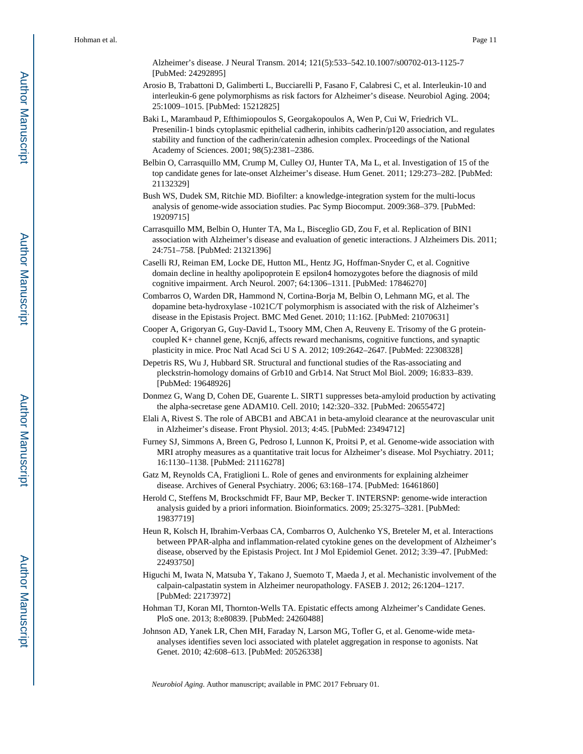Alzheimer's disease. J Neural Transm. 2014; 121(5):533–542.10.1007/s00702-013-1125-7 [PubMed: 24292895]

- Arosio B, Trabattoni D, Galimberti L, Bucciarelli P, Fasano F, Calabresi C, et al. Interleukin-10 and interleukin-6 gene polymorphisms as risk factors for Alzheimer's disease. Neurobiol Aging. 2004; 25:1009–1015. [PubMed: 15212825]
- Baki L, Marambaud P, Efthimiopoulos S, Georgakopoulos A, Wen P, Cui W, Friedrich VL. Presenilin-1 binds cytoplasmic epithelial cadherin, inhibits cadherin/p120 association, and regulates stability and function of the cadherin/catenin adhesion complex. Proceedings of the National Academy of Sciences. 2001; 98(5):2381–2386.
- Belbin O, Carrasquillo MM, Crump M, Culley OJ, Hunter TA, Ma L, et al. Investigation of 15 of the top candidate genes for late-onset Alzheimer's disease. Hum Genet. 2011; 129:273–282. [PubMed: 21132329]
- Bush WS, Dudek SM, Ritchie MD. Biofilter: a knowledge-integration system for the multi-locus analysis of genome-wide association studies. Pac Symp Biocomput. 2009:368–379. [PubMed: 19209715]
- Carrasquillo MM, Belbin O, Hunter TA, Ma L, Bisceglio GD, Zou F, et al. Replication of BIN1 association with Alzheimer's disease and evaluation of genetic interactions. J Alzheimers Dis. 2011; 24:751–758. [PubMed: 21321396]
- Caselli RJ, Reiman EM, Locke DE, Hutton ML, Hentz JG, Hoffman-Snyder C, et al. Cognitive domain decline in healthy apolipoprotein E epsilon4 homozygotes before the diagnosis of mild cognitive impairment. Arch Neurol. 2007; 64:1306–1311. [PubMed: 17846270]
- Combarros O, Warden DR, Hammond N, Cortina-Borja M, Belbin O, Lehmann MG, et al. The dopamine beta-hydroxylase -1021C/T polymorphism is associated with the risk of Alzheimer's disease in the Epistasis Project. BMC Med Genet. 2010; 11:162. [PubMed: 21070631]
- Cooper A, Grigoryan G, Guy-David L, Tsoory MM, Chen A, Reuveny E. Trisomy of the G proteincoupled K+ channel gene, Kcnj6, affects reward mechanisms, cognitive functions, and synaptic plasticity in mice. Proc Natl Acad Sci U S A. 2012; 109:2642–2647. [PubMed: 22308328]
- Depetris RS, Wu J, Hubbard SR. Structural and functional studies of the Ras-associating and pleckstrin-homology domains of Grb10 and Grb14. Nat Struct Mol Biol. 2009; 16:833–839. [PubMed: 19648926]
- Donmez G, Wang D, Cohen DE, Guarente L. SIRT1 suppresses beta-amyloid production by activating the alpha-secretase gene ADAM10. Cell. 2010; 142:320–332. [PubMed: 20655472]
- Elali A, Rivest S. The role of ABCB1 and ABCA1 in beta-amyloid clearance at the neurovascular unit in Alzheimer's disease. Front Physiol. 2013; 4:45. [PubMed: 23494712]
- Furney SJ, Simmons A, Breen G, Pedroso I, Lunnon K, Proitsi P, et al. Genome-wide association with MRI atrophy measures as a quantitative trait locus for Alzheimer's disease. Mol Psychiatry. 2011; 16:1130–1138. [PubMed: 21116278]
- Gatz M, Reynolds CA, Fratiglioni L. Role of genes and environments for explaining alzheimer disease. Archives of General Psychiatry. 2006; 63:168–174. [PubMed: 16461860]
- Herold C, Steffens M, Brockschmidt FF, Baur MP, Becker T. INTERSNP: genome-wide interaction analysis guided by a priori information. Bioinformatics. 2009; 25:3275–3281. [PubMed: 19837719]
- Heun R, Kolsch H, Ibrahim-Verbaas CA, Combarros O, Aulchenko YS, Breteler M, et al. Interactions between PPAR-alpha and inflammation-related cytokine genes on the development of Alzheimer's disease, observed by the Epistasis Project. Int J Mol Epidemiol Genet. 2012; 3:39–47. [PubMed: 22493750]
- Higuchi M, Iwata N, Matsuba Y, Takano J, Suemoto T, Maeda J, et al. Mechanistic involvement of the calpain-calpastatin system in Alzheimer neuropathology. FASEB J. 2012; 26:1204–1217. [PubMed: 22173972]
- Hohman TJ, Koran MI, Thornton-Wells TA. Epistatic effects among Alzheimer's Candidate Genes. PloS one. 2013; 8:e80839. [PubMed: 24260488]
- Johnson AD, Yanek LR, Chen MH, Faraday N, Larson MG, Tofler G, et al. Genome-wide metaanalyses identifies seven loci associated with platelet aggregation in response to agonists. Nat Genet. 2010; 42:608–613. [PubMed: 20526338]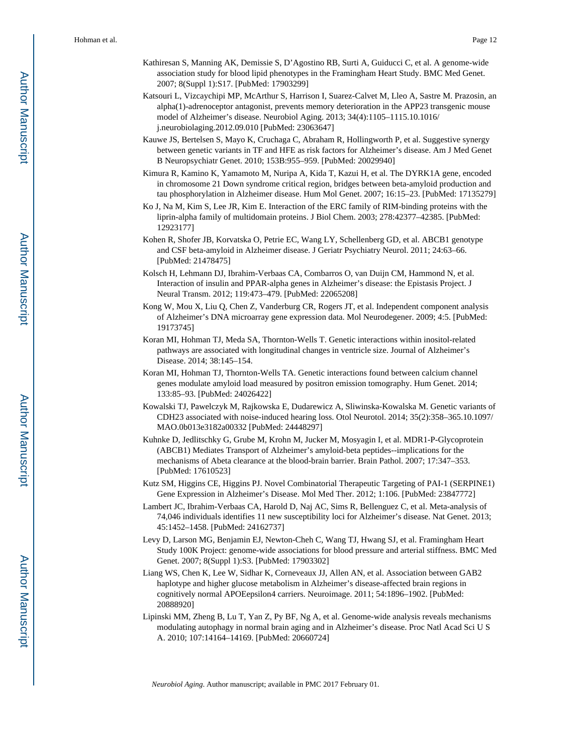- Kathiresan S, Manning AK, Demissie S, D'Agostino RB, Surti A, Guiducci C, et al. A genome-wide association study for blood lipid phenotypes in the Framingham Heart Study. BMC Med Genet. 2007; 8(Suppl 1):S17. [PubMed: 17903299]
- Katsouri L, Vizcaychipi MP, McArthur S, Harrison I, Suarez-Calvet M, Lleo A, Sastre M. Prazosin, an alpha(1)-adrenoceptor antagonist, prevents memory deterioration in the APP23 transgenic mouse model of Alzheimer's disease. Neurobiol Aging. 2013; 34(4):1105–1115.10.1016/ j.neurobiolaging.2012.09.010 [PubMed: 23063647]
- Kauwe JS, Bertelsen S, Mayo K, Cruchaga C, Abraham R, Hollingworth P, et al. Suggestive synergy between genetic variants in TF and HFE as risk factors for Alzheimer's disease. Am J Med Genet B Neuropsychiatr Genet. 2010; 153B:955–959. [PubMed: 20029940]
- Kimura R, Kamino K, Yamamoto M, Nuripa A, Kida T, Kazui H, et al. The DYRK1A gene, encoded in chromosome 21 Down syndrome critical region, bridges between beta-amyloid production and tau phosphorylation in Alzheimer disease. Hum Mol Genet. 2007; 16:15–23. [PubMed: 17135279]
- Ko J, Na M, Kim S, Lee JR, Kim E. Interaction of the ERC family of RIM-binding proteins with the liprin-alpha family of multidomain proteins. J Biol Chem. 2003; 278:42377–42385. [PubMed: 12923177]
- Kohen R, Shofer JB, Korvatska O, Petrie EC, Wang LY, Schellenberg GD, et al. ABCB1 genotype and CSF beta-amyloid in Alzheimer disease. J Geriatr Psychiatry Neurol. 2011; 24:63–66. [PubMed: 21478475]
- Kolsch H, Lehmann DJ, Ibrahim-Verbaas CA, Combarros O, van Duijn CM, Hammond N, et al. Interaction of insulin and PPAR-alpha genes in Alzheimer's disease: the Epistasis Project. J Neural Transm. 2012; 119:473–479. [PubMed: 22065208]
- Kong W, Mou X, Liu Q, Chen Z, Vanderburg CR, Rogers JT, et al. Independent component analysis of Alzheimer's DNA microarray gene expression data. Mol Neurodegener. 2009; 4:5. [PubMed: 19173745]
- Koran MI, Hohman TJ, Meda SA, Thornton-Wells T. Genetic interactions within inositol-related pathways are associated with longitudinal changes in ventricle size. Journal of Alzheimer's Disease. 2014; 38:145–154.
- Koran MI, Hohman TJ, Thornton-Wells TA. Genetic interactions found between calcium channel genes modulate amyloid load measured by positron emission tomography. Hum Genet. 2014; 133:85–93. [PubMed: 24026422]
- Kowalski TJ, Pawelczyk M, Rajkowska E, Dudarewicz A, Sliwinska-Kowalska M. Genetic variants of CDH23 associated with noise-induced hearing loss. Otol Neurotol. 2014; 35(2):358–365.10.1097/ MAO.0b013e3182a00332 [PubMed: 24448297]
- Kuhnke D, Jedlitschky G, Grube M, Krohn M, Jucker M, Mosyagin I, et al. MDR1-P-Glycoprotein (ABCB1) Mediates Transport of Alzheimer's amyloid-beta peptides--implications for the mechanisms of Abeta clearance at the blood-brain barrier. Brain Pathol. 2007; 17:347–353. [PubMed: 17610523]
- Kutz SM, Higgins CE, Higgins PJ. Novel Combinatorial Therapeutic Targeting of PAI-1 (SERPINE1) Gene Expression in Alzheimer's Disease. Mol Med Ther. 2012; 1:106. [PubMed: 23847772]
- Lambert JC, Ibrahim-Verbaas CA, Harold D, Naj AC, Sims R, Bellenguez C, et al. Meta-analysis of 74,046 individuals identifies 11 new susceptibility loci for Alzheimer's disease. Nat Genet. 2013; 45:1452–1458. [PubMed: 24162737]
- Levy D, Larson MG, Benjamin EJ, Newton-Cheh C, Wang TJ, Hwang SJ, et al. Framingham Heart Study 100K Project: genome-wide associations for blood pressure and arterial stiffness. BMC Med Genet. 2007; 8(Suppl 1):S3. [PubMed: 17903302]
- Liang WS, Chen K, Lee W, Sidhar K, Corneveaux JJ, Allen AN, et al. Association between GAB2 haplotype and higher glucose metabolism in Alzheimer's disease-affected brain regions in cognitively normal APOEepsilon4 carriers. Neuroimage. 2011; 54:1896–1902. [PubMed: 20888920]
- Lipinski MM, Zheng B, Lu T, Yan Z, Py BF, Ng A, et al. Genome-wide analysis reveals mechanisms modulating autophagy in normal brain aging and in Alzheimer's disease. Proc Natl Acad Sci U S A. 2010; 107:14164–14169. [PubMed: 20660724]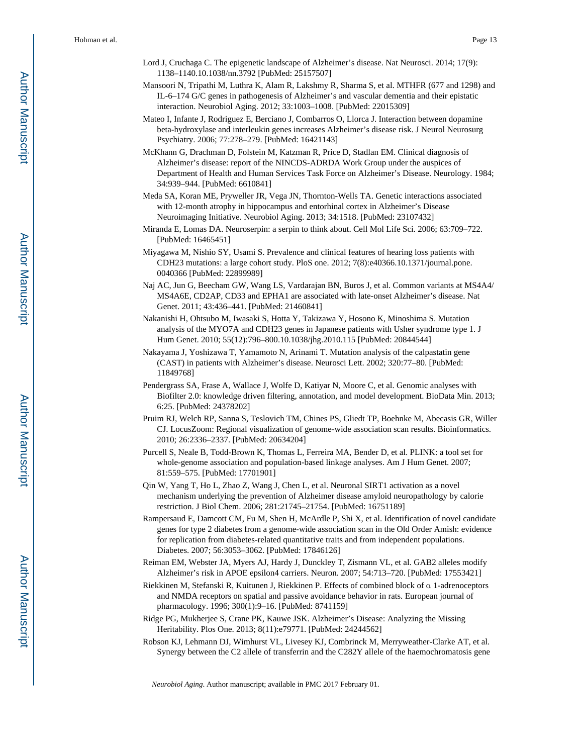- Lord J, Cruchaga C. The epigenetic landscape of Alzheimer's disease. Nat Neurosci. 2014; 17(9): 1138–1140.10.1038/nn.3792 [PubMed: 25157507]
- Mansoori N, Tripathi M, Luthra K, Alam R, Lakshmy R, Sharma S, et al. MTHFR (677 and 1298) and IL-6–174 G/C genes in pathogenesis of Alzheimer's and vascular dementia and their epistatic interaction. Neurobiol Aging. 2012; 33:1003–1008. [PubMed: 22015309]
- Mateo I, Infante J, Rodriguez E, Berciano J, Combarros O, Llorca J. Interaction between dopamine beta-hydroxylase and interleukin genes increases Alzheimer's disease risk. J Neurol Neurosurg Psychiatry. 2006; 77:278–279. [PubMed: 16421143]
- McKhann G, Drachman D, Folstein M, Katzman R, Price D, Stadlan EM. Clinical diagnosis of Alzheimer's disease: report of the NINCDS-ADRDA Work Group under the auspices of Department of Health and Human Services Task Force on Alzheimer's Disease. Neurology. 1984; 34:939–944. [PubMed: 6610841]
- Meda SA, Koran ME, Pryweller JR, Vega JN, Thornton-Wells TA. Genetic interactions associated with 12-month atrophy in hippocampus and entorhinal cortex in Alzheimer's Disease Neuroimaging Initiative. Neurobiol Aging. 2013; 34:1518. [PubMed: 23107432]
- Miranda E, Lomas DA. Neuroserpin: a serpin to think about. Cell Mol Life Sci. 2006; 63:709–722. [PubMed: 16465451]
- Miyagawa M, Nishio SY, Usami S. Prevalence and clinical features of hearing loss patients with CDH23 mutations: a large cohort study. PloS one. 2012; 7(8):e40366.10.1371/journal.pone. 0040366 [PubMed: 22899989]
- Naj AC, Jun G, Beecham GW, Wang LS, Vardarajan BN, Buros J, et al. Common variants at MS4A4/ MS4A6E, CD2AP, CD33 and EPHA1 are associated with late-onset Alzheimer's disease. Nat Genet. 2011; 43:436–441. [PubMed: 21460841]
- Nakanishi H, Ohtsubo M, Iwasaki S, Hotta Y, Takizawa Y, Hosono K, Minoshima S. Mutation analysis of the MYO7A and CDH23 genes in Japanese patients with Usher syndrome type 1. J Hum Genet. 2010; 55(12):796–800.10.1038/jhg.2010.115 [PubMed: 20844544]
- Nakayama J, Yoshizawa T, Yamamoto N, Arinami T. Mutation analysis of the calpastatin gene (CAST) in patients with Alzheimer's disease. Neurosci Lett. 2002; 320:77–80. [PubMed: 11849768]
- Pendergrass SA, Frase A, Wallace J, Wolfe D, Katiyar N, Moore C, et al. Genomic analyses with Biofilter 2.0: knowledge driven filtering, annotation, and model development. BioData Min. 2013; 6:25. [PubMed: 24378202]
- Pruim RJ, Welch RP, Sanna S, Teslovich TM, Chines PS, Gliedt TP, Boehnke M, Abecasis GR, Willer CJ. LocusZoom: Regional visualization of genome-wide association scan results. Bioinformatics. 2010; 26:2336–2337. [PubMed: 20634204]
- Purcell S, Neale B, Todd-Brown K, Thomas L, Ferreira MA, Bender D, et al. PLINK: a tool set for whole-genome association and population-based linkage analyses. Am J Hum Genet. 2007; 81:559–575. [PubMed: 17701901]
- Qin W, Yang T, Ho L, Zhao Z, Wang J, Chen L, et al. Neuronal SIRT1 activation as a novel mechanism underlying the prevention of Alzheimer disease amyloid neuropathology by calorie restriction. J Biol Chem. 2006; 281:21745–21754. [PubMed: 16751189]
- Rampersaud E, Damcott CM, Fu M, Shen H, McArdle P, Shi X, et al. Identification of novel candidate genes for type 2 diabetes from a genome-wide association scan in the Old Order Amish: evidence for replication from diabetes-related quantitative traits and from independent populations. Diabetes. 2007; 56:3053–3062. [PubMed: 17846126]
- Reiman EM, Webster JA, Myers AJ, Hardy J, Dunckley T, Zismann VL, et al. GAB2 alleles modify Alzheimer's risk in APOE epsilon4 carriers. Neuron. 2007; 54:713–720. [PubMed: 17553421]
- Riekkinen M, Stefanski R, Kuitunen J, Riekkinen P. Effects of combined block of α 1-adrenoceptors and NMDA receptors on spatial and passive avoidance behavior in rats. European journal of pharmacology. 1996; 300(1):9–16. [PubMed: 8741159]
- Ridge PG, Mukherjee S, Crane PK, Kauwe JSK. Alzheimer's Disease: Analyzing the Missing Heritability. Plos One. 2013; 8(11):e79771. [PubMed: 24244562]
- Robson KJ, Lehmann DJ, Wimhurst VL, Livesey KJ, Combrinck M, Merryweather-Clarke AT, et al. Synergy between the C2 allele of transferrin and the C282Y allele of the haemochromatosis gene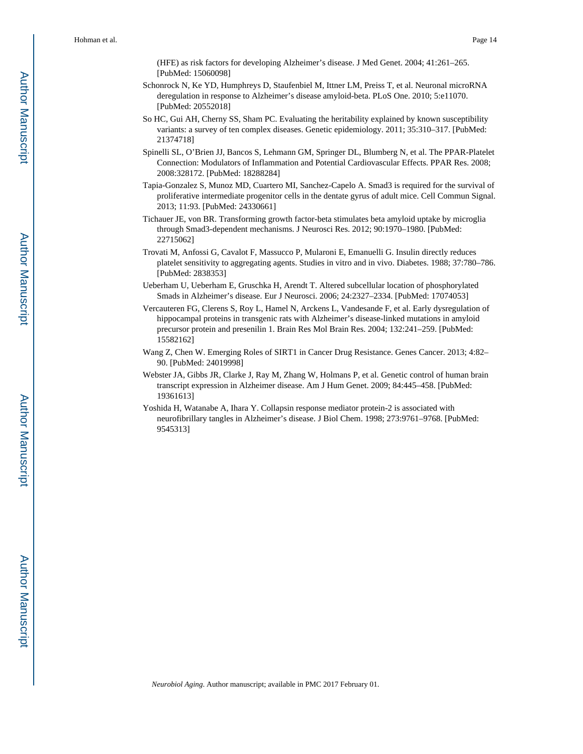(HFE) as risk factors for developing Alzheimer's disease. J Med Genet. 2004; 41:261–265. [PubMed: 15060098]

- Schonrock N, Ke YD, Humphreys D, Staufenbiel M, Ittner LM, Preiss T, et al. Neuronal microRNA deregulation in response to Alzheimer's disease amyloid-beta. PLoS One. 2010; 5:e11070. [PubMed: 20552018]
- So HC, Gui AH, Cherny SS, Sham PC. Evaluating the heritability explained by known susceptibility variants: a survey of ten complex diseases. Genetic epidemiology. 2011; 35:310–317. [PubMed: 21374718]
- Spinelli SL, O'Brien JJ, Bancos S, Lehmann GM, Springer DL, Blumberg N, et al. The PPAR-Platelet Connection: Modulators of Inflammation and Potential Cardiovascular Effects. PPAR Res. 2008; 2008:328172. [PubMed: 18288284]
- Tapia-Gonzalez S, Munoz MD, Cuartero MI, Sanchez-Capelo A. Smad3 is required for the survival of proliferative intermediate progenitor cells in the dentate gyrus of adult mice. Cell Commun Signal. 2013; 11:93. [PubMed: 24330661]
- Tichauer JE, von BR. Transforming growth factor-beta stimulates beta amyloid uptake by microglia through Smad3-dependent mechanisms. J Neurosci Res. 2012; 90:1970–1980. [PubMed: 22715062]
- Trovati M, Anfossi G, Cavalot F, Massucco P, Mularoni E, Emanuelli G. Insulin directly reduces platelet sensitivity to aggregating agents. Studies in vitro and in vivo. Diabetes. 1988; 37:780–786. [PubMed: 2838353]
- Ueberham U, Ueberham E, Gruschka H, Arendt T. Altered subcellular location of phosphorylated Smads in Alzheimer's disease. Eur J Neurosci. 2006; 24:2327–2334. [PubMed: 17074053]
- Vercauteren FG, Clerens S, Roy L, Hamel N, Arckens L, Vandesande F, et al. Early dysregulation of hippocampal proteins in transgenic rats with Alzheimer's disease-linked mutations in amyloid precursor protein and presenilin 1. Brain Res Mol Brain Res. 2004; 132:241–259. [PubMed: 15582162]
- Wang Z, Chen W. Emerging Roles of SIRT1 in Cancer Drug Resistance. Genes Cancer. 2013; 4:82– 90. [PubMed: 24019998]
- Webster JA, Gibbs JR, Clarke J, Ray M, Zhang W, Holmans P, et al. Genetic control of human brain transcript expression in Alzheimer disease. Am J Hum Genet. 2009; 84:445–458. [PubMed: 19361613]
- Yoshida H, Watanabe A, Ihara Y. Collapsin response mediator protein-2 is associated with neurofibrillary tangles in Alzheimer's disease. J Biol Chem. 1998; 273:9761–9768. [PubMed: 9545313]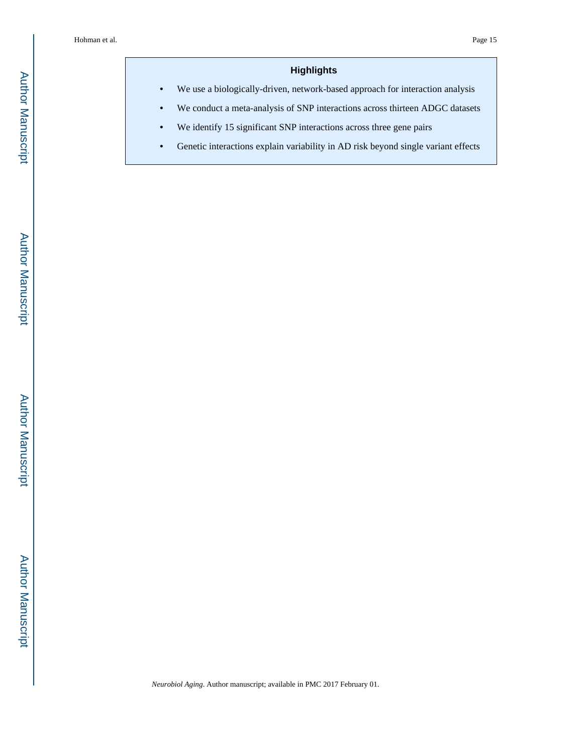#### **Highlights**

**•** We use a biologically-driven, network-based approach for interaction analysis

- **•** We conduct a meta-analysis of SNP interactions across thirteen ADGC datasets
- **•** We identify 15 significant SNP interactions across three gene pairs
- Genetic interactions explain variability in AD risk beyond single variant effects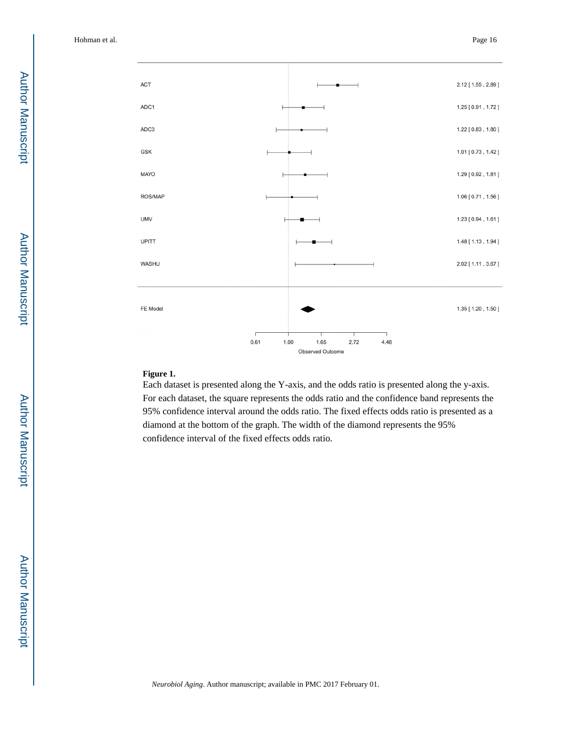

#### **Figure 1.**

Each dataset is presented along the Y-axis, and the odds ratio is presented along the y-axis. For each dataset, the square represents the odds ratio and the confidence band represents the 95% confidence interval around the odds ratio. The fixed effects odds ratio is presented as a diamond at the bottom of the graph. The width of the diamond represents the 95% confidence interval of the fixed effects odds ratio.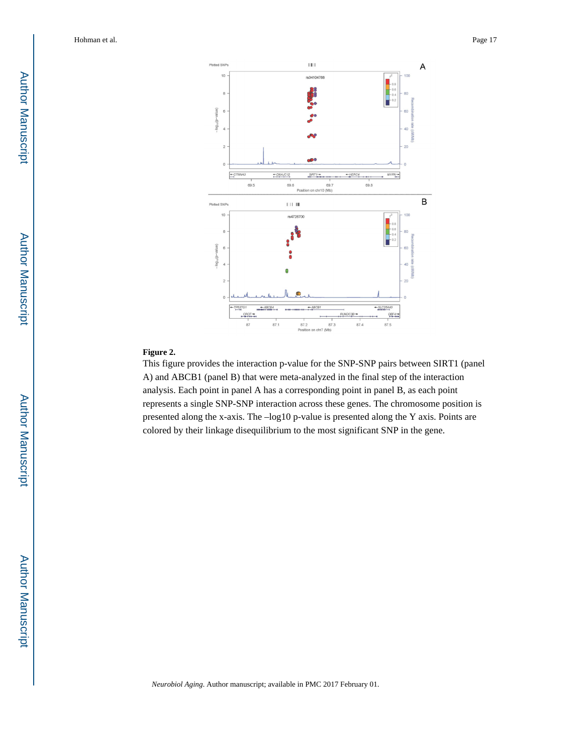

#### **Figure 2.**

This figure provides the interaction p-value for the SNP-SNP pairs between SIRT1 (panel A) and ABCB1 (panel B) that were meta-analyzed in the final step of the interaction analysis. Each point in panel A has a corresponding point in panel B, as each point represents a single SNP-SNP interaction across these genes. The chromosome position is presented along the x-axis. The –log10 p-value is presented along the Y axis. Points are colored by their linkage disequilibrium to the most significant SNP in the gene.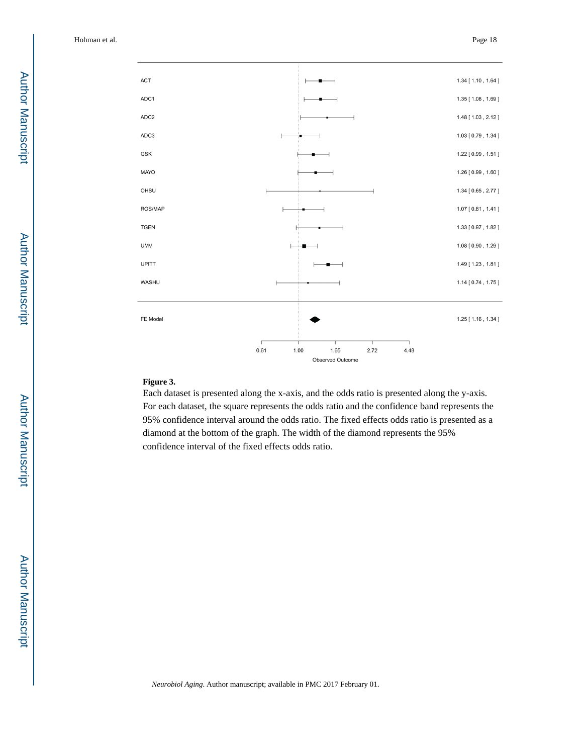

#### **Figure 3.**

Each dataset is presented along the x-axis, and the odds ratio is presented along the y-axis. For each dataset, the square represents the odds ratio and the confidence band represents the 95% confidence interval around the odds ratio. The fixed effects odds ratio is presented as a diamond at the bottom of the graph. The width of the diamond represents the 95% confidence interval of the fixed effects odds ratio.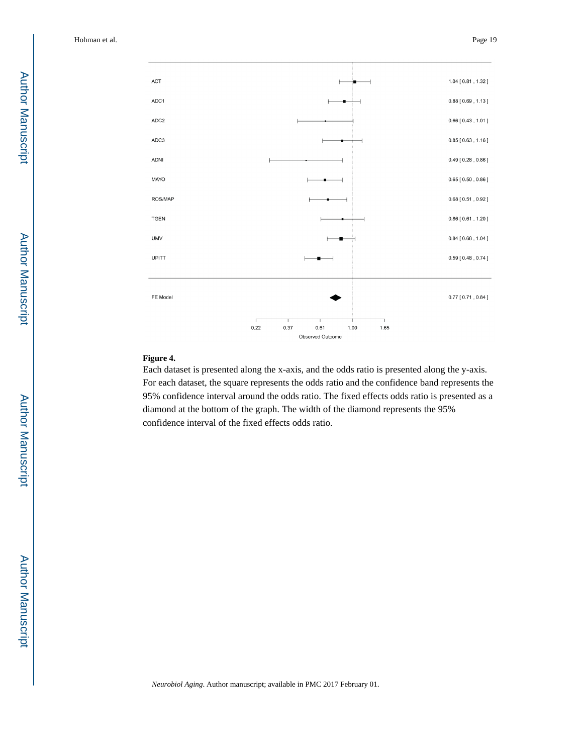

#### **Figure 4.**

Each dataset is presented along the x-axis, and the odds ratio is presented along the y-axis. For each dataset, the square represents the odds ratio and the confidence band represents the 95% confidence interval around the odds ratio. The fixed effects odds ratio is presented as a diamond at the bottom of the graph. The width of the diamond represents the 95% confidence interval of the fixed effects odds ratio.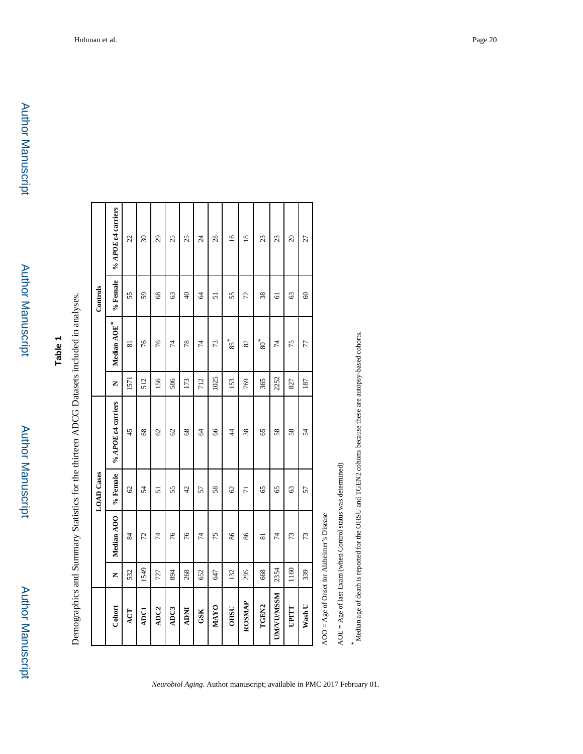Author Manuscript

Author Manuscript

## **Table 1**

| $\vdots$                                     |
|----------------------------------------------|
|                                              |
| $5 - 5$<br>;<br>ון<br>;<br>- 1<br>- 1<br>- 1 |
|                                              |
|                                              |
| ;                                            |
|                                              |
| $\ddot{ }$<br>Ì                              |
|                                              |
|                                              |
| í<br>ì                                       |
| ļ<br>֚֚֡                                     |

|                  |      |                         | <b>LOAD</b> Cases |                    |      |             | Controls       |                          |
|------------------|------|-------------------------|-------------------|--------------------|------|-------------|----------------|--------------------------|
| Cohort           | Z    | Median AOO              | % Female          | % APOE e4 carriers | Z    | Median AOE* | % Female       | % APOE &4 carriers       |
| ACT              | 532  | 84                      | $\mathcal{O}$     | 45                 | 1571 | ವ           | 55             | 22                       |
| <b>ADC1</b>      | 1549 | 72                      | 54                | 68                 | 512  | 76          | 59             | $\overline{\mathbf{30}}$ |
| ADC <sub>2</sub> | 727  | 74                      | 51                | 62                 | 156  | 76          | 68             | 29                       |
| ADC3             | 894  | 76                      | 55                | 62                 | 586  | 74          | 63             | 25                       |
| <b>NOW</b>       | 268  | 76                      | 42                | 68                 | 173  | 78          | $\overline{6}$ | 25                       |
| GSK              | 652  | 74                      | 57                | $\mathcal{L}$      | 712  | 4           | 2              | $\overline{24}$          |
| <b>MAYO</b>      | 647  | 75                      | 58                | 66                 | 1025 | 73          | 51             | 28                       |
| <b>OHSU</b>      | 132  | 86                      | 62                | $\frac{4}{3}$      | 153  | $85*$       | 55             | $\overline{16}$          |
| ROSMAP           | 295  | 86                      | $\overline{7}$    | 38                 | 769  | 82          | 72             | $\overline{18}$          |
| TGEN2            | 668  | $\overline{\mathbf{8}}$ | 65                | 65                 | 365  | $80*$       | 38             | 23                       |
| <b>UMVUVUSSM</b> | 2354 | 74                      | 65                | 58                 | 2252 | 74          | 5              | 23                       |
| UPITT            | 1160 | 73                      | 63                | 58                 | 827  | 75          | 63             | $\Omega$                 |
| Wash U           | 339  | 73                      | 57                | 54                 | 187  | 77          | $\mathcal{S}$  | 27                       |
|                  |      | Í                       |                   |                    |      |             |                |                          |

AOO = Age of Onset for Alzheimer's Disease AOO = Age of Onset for Alzheimer's Disease

*Neurobiol Aging*. Author manuscript; available in PMC 2017 February 01.

 $AOE = Age$  of last Exam (when Control status was determined) AOE = Age of last Exam (when Control status was determined)

*\** Median age of death is reported for the OHSU and TGEN2 cohorts because these are autopsy-based cohorts.